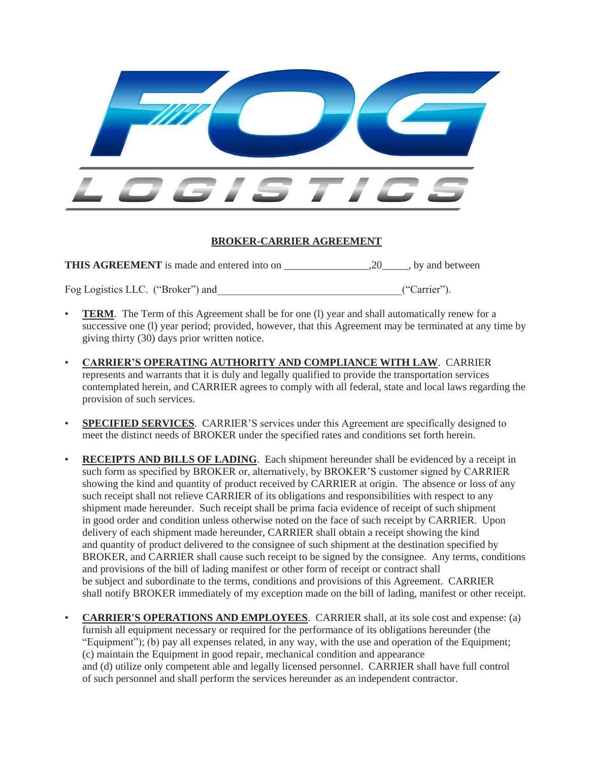

## **BROKER-CARRIER AGREEMENT**

**THIS AGREEMENT** is made and entered into on  $\qquad \qquad .20$ , by and between

Fog Logistics LLC. ("Broker") and <br>
("Carrier").

- **TERM**. The Term of this Agreement shall be for one (1) year and shall automatically renew for a successive one (l) year period; provided, however, that this Agreement may be terminated at any time by giving thirty (30) days prior written notice.
- **CARRIER'S OPERATING AUTHORITY AND COMPLIANCE WITH LAW**. CARRIER represents and warrants that it is duly and legally qualified to provide the transportation services contemplated herein, and CARRIER agrees to comply with all federal, state and local laws regarding the provision of such services.
- **SPECIFIED SERVICES**. CARRIER'S services under this Agreement are specifically designed to meet the distinct needs of BROKER under the specified rates and conditions set forth herein.
- **RECEIPTS AND BILLS OF LADING**. Each shipment hereunder shall be evidenced by a receipt in such form as specified by BROKER or, alternatively, by BROKER'S customer signed by CARRIER showing the kind and quantity of product received by CARRIER at origin. The absence or loss of any such receipt shall not relieve CARRIER of its obligations and responsibilities with respect to any shipment made hereunder. Such receipt shall be prima facia evidence of receipt of such shipment in good order and condition unless otherwise noted on the face of such receipt by CARRIER. Upon delivery of each shipment made hereunder, CARRIER shall obtain a receipt showing the kind and quantity of product delivered to the consignee of such shipment at the destination specified by BROKER, and CARRIER shall cause such receipt to be signed by the consignee. Any terms, conditions and provisions of the bill of lading manifest or other form of receipt or contract shall be subject and subordinate to the terms, conditions and provisions of this Agreement. CARRIER shall notify BROKER immediately of my exception made on the bill of lading, manifest or other receipt.
- **CARRIER'S OPERATIONS AND EMPLOYEES**. CARRIER shall, at its sole cost and expense: (a) furnish all equipment necessary or required for the performance of its obligations hereunder (the "Equipment"); (b) pay all expenses related, in any way, with the use and operation of the Equipment; (c) maintain the Equipment in good repair, mechanical condition and appearance and (d) utilize only competent able and legally licensed personnel. CARRIER shall have full control of such personnel and shall perform the services hereunder as an independent contractor.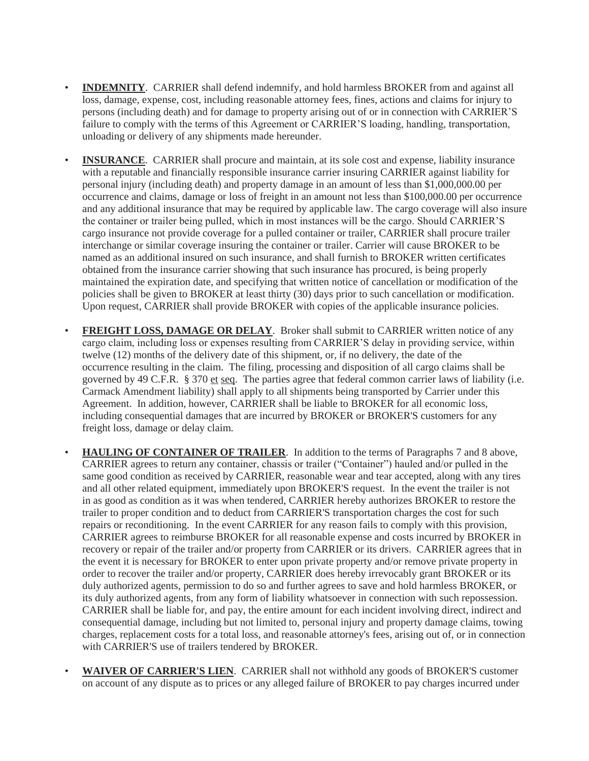- **INDEMNITY**. CARRIER shall defend indemnify, and hold harmless BROKER from and against all loss, damage, expense, cost, including reasonable attorney fees, fines, actions and claims for injury to persons (including death) and for damage to property arising out of or in connection with CARRIER'S failure to comply with the terms of this Agreement or CARRIER'S loading, handling, transportation, unloading or delivery of any shipments made hereunder.
- **INSURANCE**. CARRIER shall procure and maintain, at its sole cost and expense, liability insurance with a reputable and financially responsible insurance carrier insuring CARRIER against liability for personal injury (including death) and property damage in an amount of less than \$1,000,000.00 per occurrence and claims, damage or loss of freight in an amount not less than \$100,000.00 per occurrence and any additional insurance that may be required by applicable law. The cargo coverage will also insure the container or trailer being pulled, which in most instances will be the cargo. Should CARRIER'S cargo insurance not provide coverage for a pulled container or trailer, CARRIER shall procure trailer interchange or similar coverage insuring the container or trailer. Carrier will cause BROKER to be named as an additional insured on such insurance, and shall furnish to BROKER written certificates obtained from the insurance carrier showing that such insurance has procured, is being properly maintained the expiration date, and specifying that written notice of cancellation or modification of the policies shall be given to BROKER at least thirty (30) days prior to such cancellation or modification. Upon request, CARRIER shall provide BROKER with copies of the applicable insurance policies.
- **FREIGHT LOSS, DAMAGE OR DELAY**. Broker shall submit to CARRIER written notice of any cargo claim, including loss or expenses resulting from CARRIER'S delay in providing service, within twelve (12) months of the delivery date of this shipment, or, if no delivery, the date of the occurrence resulting in the claim. The filing, processing and disposition of all cargo claims shall be governed by 49 C.F.R. § 370 et seq. The parties agree that federal common carrier laws of liability (i.e. Carmack Amendment liability) shall apply to all shipments being transported by Carrier under this Agreement. In addition, however, CARRIER shall be liable to BROKER for all economic loss, including consequential damages that are incurred by BROKER or BROKER'S customers for any freight loss, damage or delay claim.
- **HAULING OF CONTAINER OF TRAILER**. In addition to the terms of Paragraphs 7 and 8 above, CARRIER agrees to return any container, chassis or trailer ("Container") hauled and/or pulled in the same good condition as received by CARRIER, reasonable wear and tear accepted, along with any tires and all other related equipment, immediately upon BROKER'S request. In the event the trailer is not in as good as condition as it was when tendered, CARRIER hereby authorizes BROKER to restore the trailer to proper condition and to deduct from CARRIER'S transportation charges the cost for such repairs or reconditioning. In the event CARRIER for any reason fails to comply with this provision, CARRIER agrees to reimburse BROKER for all reasonable expense and costs incurred by BROKER in recovery or repair of the trailer and/or property from CARRIER or its drivers. CARRIER agrees that in the event it is necessary for BROKER to enter upon private property and/or remove private property in order to recover the trailer and/or property, CARRIER does hereby irrevocably grant BROKER or its duly authorized agents, permission to do so and further agrees to save and hold harmless BROKER, or its duly authorized agents, from any form of liability whatsoever in connection with such repossession. CARRIER shall be liable for, and pay, the entire amount for each incident involving direct, indirect and consequential damage, including but not limited to, personal injury and property damage claims, towing charges, replacement costs for a total loss, and reasonable attorney's fees, arising out of, or in connection with CARRIER'S use of trailers tendered by BROKER.
- **WAIVER OF CARRIER'S LIEN**. CARRIER shall not withhold any goods of BROKER'S customer on account of any dispute as to prices or any alleged failure of BROKER to pay charges incurred under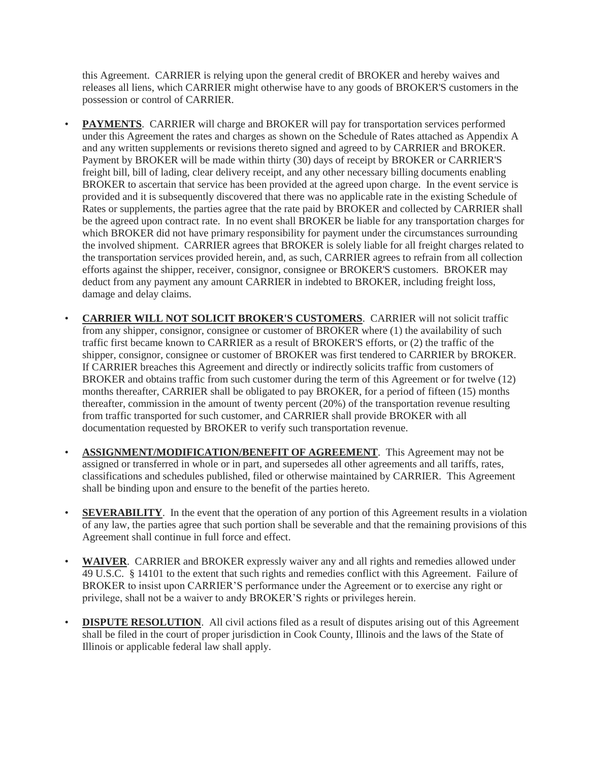this Agreement. CARRIER is relying upon the general credit of BROKER and hereby waives and releases all liens, which CARRIER might otherwise have to any goods of BROKER'S customers in the possession or control of CARRIER.

- **PAYMENTS**. CARRIER will charge and BROKER will pay for transportation services performed under this Agreement the rates and charges as shown on the Schedule of Rates attached as Appendix A and any written supplements or revisions thereto signed and agreed to by CARRIER and BROKER. Payment by BROKER will be made within thirty (30) days of receipt by BROKER or CARRIER'S freight bill, bill of lading, clear delivery receipt, and any other necessary billing documents enabling BROKER to ascertain that service has been provided at the agreed upon charge. In the event service is provided and it is subsequently discovered that there was no applicable rate in the existing Schedule of Rates or supplements, the parties agree that the rate paid by BROKER and collected by CARRIER shall be the agreed upon contract rate. In no event shall BROKER be liable for any transportation charges for which BROKER did not have primary responsibility for payment under the circumstances surrounding the involved shipment. CARRIER agrees that BROKER is solely liable for all freight charges related to the transportation services provided herein, and, as such, CARRIER agrees to refrain from all collection efforts against the shipper, receiver, consignor, consignee or BROKER'S customers. BROKER may deduct from any payment any amount CARRIER in indebted to BROKER, including freight loss, damage and delay claims.
- **CARRIER WILL NOT SOLICIT BROKER'S CUSTOMERS**. CARRIER will not solicit traffic from any shipper, consignor, consignee or customer of BROKER where (1) the availability of such traffic first became known to CARRIER as a result of BROKER'S efforts, or (2) the traffic of the shipper, consignor, consignee or customer of BROKER was first tendered to CARRIER by BROKER. If CARRIER breaches this Agreement and directly or indirectly solicits traffic from customers of BROKER and obtains traffic from such customer during the term of this Agreement or for twelve (12) months thereafter, CARRIER shall be obligated to pay BROKER, for a period of fifteen (15) months thereafter, commission in the amount of twenty percent (20%) of the transportation revenue resulting from traffic transported for such customer, and CARRIER shall provide BROKER with all documentation requested by BROKER to verify such transportation revenue.
- **ASSIGNMENT/MODIFICATION/BENEFIT OF AGREEMENT**. This Agreement may not be assigned or transferred in whole or in part, and supersedes all other agreements and all tariffs, rates, classifications and schedules published, filed or otherwise maintained by CARRIER. This Agreement shall be binding upon and ensure to the benefit of the parties hereto.
- **SEVERABILITY**. In the event that the operation of any portion of this Agreement results in a violation of any law, the parties agree that such portion shall be severable and that the remaining provisions of this Agreement shall continue in full force and effect.
- **WAIVER**. CARRIER and BROKER expressly waiver any and all rights and remedies allowed under 49 U.S.C. § 14101 to the extent that such rights and remedies conflict with this Agreement. Failure of BROKER to insist upon CARRIER'S performance under the Agreement or to exercise any right or privilege, shall not be a waiver to andy BROKER'S rights or privileges herein.
- **DISPUTE RESOLUTION.** All civil actions filed as a result of disputes arising out of this Agreement shall be filed in the court of proper jurisdiction in Cook County, Illinois and the laws of the State of Illinois or applicable federal law shall apply.